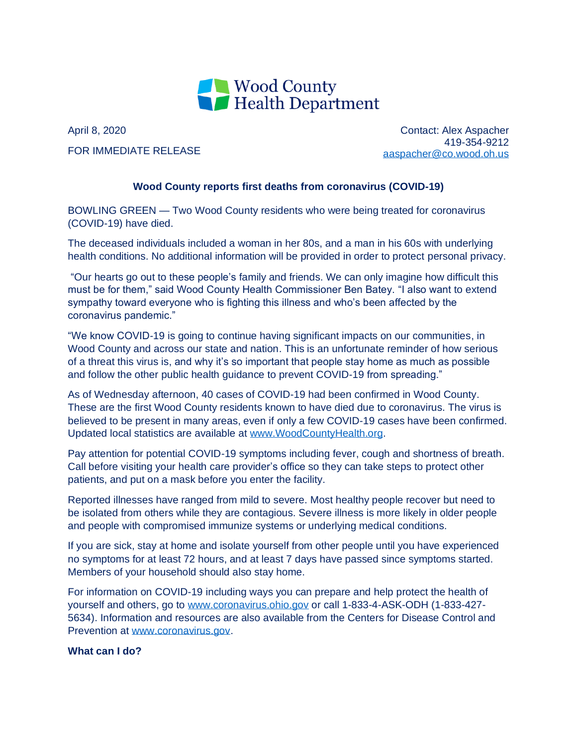

April 8, 2020 FOR IMMEDIATE RELEASE

Contact: Alex Aspacher 419-354-9212 [aaspacher@co.wood.oh.us](mailto:aaspacher@co.wood.oh.us)

## **Wood County reports first deaths from coronavirus (COVID-19)**

BOWLING GREEN — Two Wood County residents who were being treated for coronavirus (COVID-19) have died.

The deceased individuals included a woman in her 80s, and a man in his 60s with underlying health conditions. No additional information will be provided in order to protect personal privacy.

"Our hearts go out to these people's family and friends. We can only imagine how difficult this must be for them," said Wood County Health Commissioner Ben Batey. "I also want to extend sympathy toward everyone who is fighting this illness and who's been affected by the coronavirus pandemic."

"We know COVID-19 is going to continue having significant impacts on our communities, in Wood County and across our state and nation. This is an unfortunate reminder of how serious of a threat this virus is, and why it's so important that people stay home as much as possible and follow the other public health guidance to prevent COVID-19 from spreading."

As of Wednesday afternoon, 40 cases of COVID-19 had been confirmed in Wood County. These are the first Wood County residents known to have died due to coronavirus. The virus is believed to be present in many areas, even if only a few COVID-19 cases have been confirmed. Updated local statistics are available at [www.WoodCountyHealth.org.](http://www.woodcountyhealth.org/)

Pay attention for potential COVID-19 symptoms including fever, cough and shortness of breath. Call before visiting your health care provider's office so they can take steps to protect other patients, and put on a mask before you enter the facility.

Reported illnesses have ranged from mild to severe. Most healthy people recover but need to be isolated from others while they are contagious. Severe illness is more likely in older people and people with compromised immunize systems or underlying medical conditions.

If you are sick, stay at home and isolate yourself from other people until you have experienced no symptoms for at least 72 hours, and at least 7 days have passed since symptoms started. Members of your household should also stay home.

For information on COVID-19 including ways you can prepare and help protect the health of yourself and others, go to [www.coronavirus.ohio.gov](http://www.coronavirus.ohio.gov/) or call 1-833-4-ASK-ODH (1-833-427- 5634). Information and resources are also available from the Centers for Disease Control and Prevention at [www.coronavirus.gov.](http://www.coronavirus.gov/)

## **What can I do?**